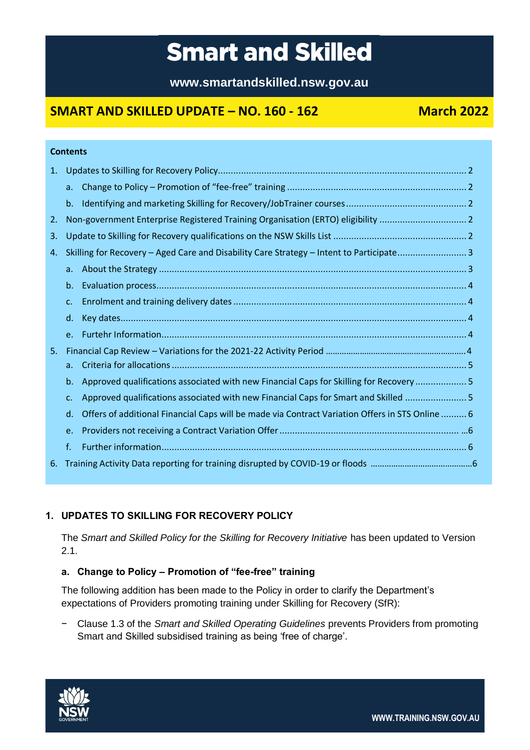# **Smart and Skilled**

**www.smartandskilled.nsw.gov.au**

# **SMART AND SKILLED UPDATE – NO. 160 - 162 March 2022**

|    | <b>Contents</b>                                                                                       |  |
|----|-------------------------------------------------------------------------------------------------------|--|
| 1. |                                                                                                       |  |
|    | a <sub>r</sub>                                                                                        |  |
|    | b.                                                                                                    |  |
| 2. | Non-government Enterprise Registered Training Organisation (ERTO) eligibility  2                      |  |
| 3. |                                                                                                       |  |
| 4. | Skilling for Recovery - Aged Care and Disability Care Strategy - Intent to Participate3               |  |
|    | $a_{\cdot}$                                                                                           |  |
|    | $b_{-}$                                                                                               |  |
|    | $C_{\star}$                                                                                           |  |
|    | d.                                                                                                    |  |
|    | $e_{i}$                                                                                               |  |
| 5. |                                                                                                       |  |
|    | a <sub>r</sub>                                                                                        |  |
|    | Approved qualifications associated with new Financial Caps for Skilling for Recovery  5<br>$b_{-}$    |  |
|    | Approved qualifications associated with new Financial Caps for Smart and Skilled  5<br>$C_{\star}$    |  |
|    | Offers of additional Financial Caps will be made via Contract Variation Offers in STS Online  6<br>d. |  |
|    | e.                                                                                                    |  |
|    | f.                                                                                                    |  |
| 6. |                                                                                                       |  |
|    |                                                                                                       |  |

## <span id="page-0-0"></span>**1. UPDATES TO SKILLING FOR RECOVERY POLICY**

The *Smart and Skilled Policy for the Skilling for Recovery Initiative* has been updated to Version 2.1.

### <span id="page-0-1"></span>**a. Change to Policy – Promotion of "fee-free" training**

The following addition has been made to the Policy in order to clarify the Department's expectations of Providers promoting training under Skilling for Recovery (SfR):

− Clause 1.3 of the *Smart and Skilled Operating Guidelines* prevents Providers from promoting Smart and Skilled subsidised training as being 'free of charge'.

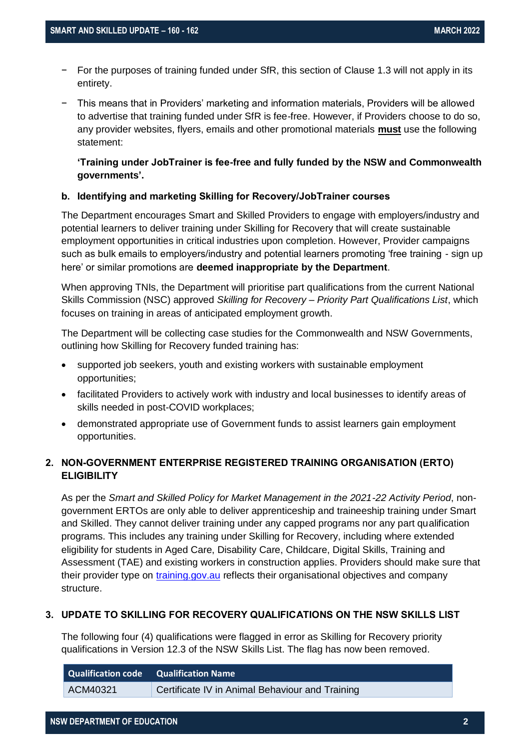- For the purposes of training funded under SfR, this section of Clause 1.3 will not apply in its entirety.
- − This means that in Providers' marketing and information materials, Providers will be allowed to advertise that training funded under SfR is fee-free. However, if Providers choose to do so, any provider websites, flyers, emails and other promotional materials **must** use the following statement:

#### **'Training under JobTrainer is fee-free and fully funded by the NSW and Commonwealth governments'.**

#### <span id="page-1-0"></span>**b. Identifying and marketing Skilling for Recovery/JobTrainer courses**

The Department encourages Smart and Skilled Providers to engage with employers/industry and potential learners to deliver training under Skilling for Recovery that will create sustainable employment opportunities in critical industries upon completion. However, Provider campaigns such as bulk emails to employers/industry and potential learners promoting 'free training - sign up here' or similar promotions are **deemed inappropriate by the Department**.

When approving TNIs, the Department will prioritise part qualifications from the current National Skills Commission (NSC) approved *Skilling for Recovery – Priority Part Qualifications List*, which focuses on training in areas of anticipated employment growth.

The Department will be collecting case studies for the Commonwealth and NSW Governments, outlining how Skilling for Recovery funded training has:

- supported job seekers, youth and existing workers with sustainable employment opportunities;
- facilitated Providers to actively work with industry and local businesses to identify areas of skills needed in post-COVID workplaces;
- demonstrated appropriate use of Government funds to assist learners gain employment opportunities.

### <span id="page-1-1"></span>**2. NON-GOVERNMENT ENTERPRISE REGISTERED TRAINING ORGANISATION (ERTO) ELIGIBILITY**

As per the *Smart and Skilled Policy for Market Management in the 2021-22 Activity Period*, nongovernment ERTOs are only able to deliver apprenticeship and traineeship training under Smart and Skilled. They cannot deliver training under any capped programs nor any part qualification programs. This includes any training under Skilling for Recovery, including where extended eligibility for students in Aged Care, Disability Care, Childcare, Digital Skills, Training and Assessment (TAE) and existing workers in construction applies. Providers should make sure that their provider type on [training.gov.au](https://training.gov.au/) reflects their organisational objectives and company structure.

#### <span id="page-1-2"></span>**3. UPDATE TO SKILLING FOR RECOVERY QUALIFICATIONS ON THE NSW SKILLS LIST**

The following four (4) qualifications were flagged in error as Skilling for Recovery priority qualifications in Version 12.3 of the NSW Skills List. The flag has now been removed.

| <b>Qualification code</b> Qualification Name |                                                 |
|----------------------------------------------|-------------------------------------------------|
| ACM40321                                     | Certificate IV in Animal Behaviour and Training |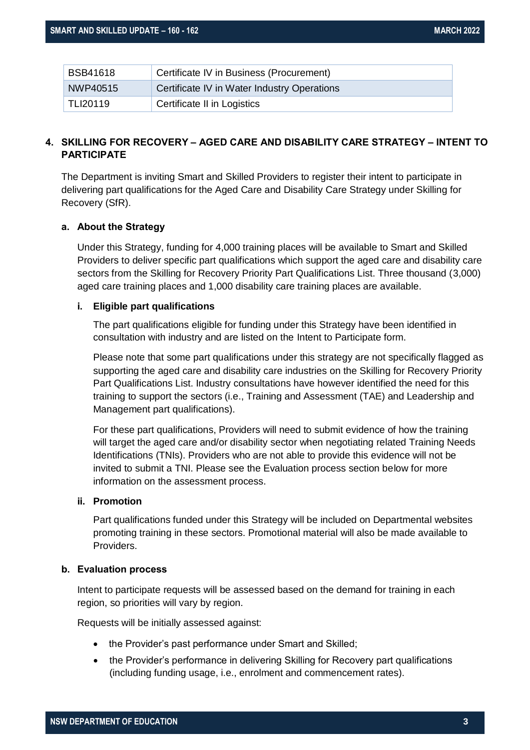| <b>BSB41618</b> | Certificate IV in Business (Procurement)    |
|-----------------|---------------------------------------------|
| NWP40515        | Certificate IV in Water Industry Operations |
| <b>TLI20119</b> | Certificate II in Logistics                 |

#### <span id="page-2-0"></span>**4. SKILLING FOR RECOVERY – AGED CARE AND DISABILITY CARE STRATEGY – INTENT TO PARTICIPATE**

The Department is inviting Smart and Skilled Providers to register their intent to participate in delivering part qualifications for the Aged Care and Disability Care Strategy under Skilling for Recovery (SfR).

#### <span id="page-2-1"></span>**a. About the Strategy**

Under this Strategy, funding for 4,000 training places will be available to Smart and Skilled Providers to deliver specific part qualifications which support the aged care and disability care sectors from the Skilling for Recovery Priority Part Qualifications List. Three thousand (3,000) aged care training places and 1,000 disability care training places are available.

#### **i. Eligible part qualifications**

The part qualifications eligible for funding under this Strategy have been identified in consultation with industry and are listed on the Intent to Participate form.

Please note that some part qualifications under this strategy are not specifically flagged as supporting the aged care and disability care industries on the Skilling for Recovery Priority Part Qualifications List. Industry consultations have however identified the need for this training to support the sectors (i.e., Training and Assessment (TAE) and Leadership and Management part qualifications).

For these part qualifications, Providers will need to submit evidence of how the training will target the aged care and/or disability sector when negotiating related Training Needs Identifications (TNIs). Providers who are not able to provide this evidence will not be invited to submit a TNI. Please see the Evaluation process section below for more information on the assessment process.

#### **ii. Promotion**

Part qualifications funded under this Strategy will be included on Departmental websites promoting training in these sectors. Promotional material will also be made available to Providers.

#### <span id="page-2-2"></span>**b. Evaluation process**

Intent to participate requests will be assessed based on the demand for training in each region, so priorities will vary by region.

Requests will be initially assessed against:

- the Provider's past performance under Smart and Skilled;
- the Provider's performance in delivering Skilling for Recovery part qualifications (including funding usage, i.e., enrolment and commencement rates).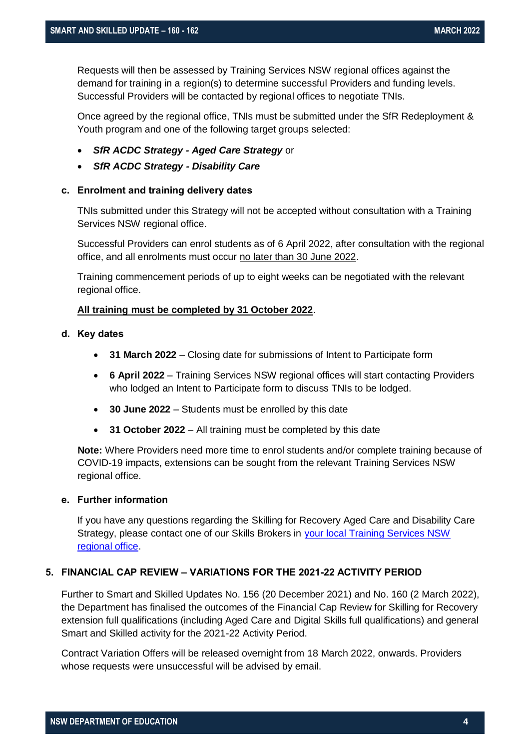Requests will then be assessed by Training Services NSW regional offices against the demand for training in a region(s) to determine successful Providers and funding levels. Successful Providers will be contacted by regional offices to negotiate TNIs.

Once agreed by the regional office, TNIs must be submitted under the SfR Redeployment & Youth program and one of the following target groups selected:

- *SfR ACDC Strategy - Aged Care Strategy* or
- *SfR ACDC Strategy - Disability Care*

#### <span id="page-3-0"></span>**c. Enrolment and training delivery dates**

TNIs submitted under this Strategy will not be accepted without consultation with a Training Services NSW regional office.

Successful Providers can enrol students as of 6 April 2022, after consultation with the regional office, and all enrolments must occur no later than 30 June 2022.

Training commencement periods of up to eight weeks can be negotiated with the relevant regional office.

#### **All training must be completed by 31 October 2022**.

#### <span id="page-3-1"></span>**d. Key dates**

- **31 March 2022** Closing date for submissions of Intent to Participate form
- **6 April 2022**  Training Services NSW regional offices will start contacting Providers who lodged an Intent to Participate form to discuss TNIs to be lodged.
- **30 June 2022** Students must be enrolled by this date
- **31 October 2022** All training must be completed by this date

**Note:** Where Providers need more time to enrol students and/or complete training because of COVID-19 impacts, extensions can be sought from the relevant Training Services NSW regional office.

#### **e. Further information**

If you have any questions regarding the Skilling for Recovery Aged Care and Disability Care Strategy, please contact one of our Skills Brokers in [your local Training Services NSW](https://education.nsw.gov.au/skills-nsw/contact-us)  [regional office.](https://education.nsw.gov.au/skills-nsw/contact-us)

#### <span id="page-3-2"></span>**5. FINANCIAL CAP REVIEW – VARIATIONS FOR THE 2021-22 ACTIVITY PERIOD**

Further to Smart and Skilled Updates No. 156 (20 December 2021) and No. 160 (2 March 2022), the Department has finalised the outcomes of the Financial Cap Review for Skilling for Recovery extension full qualifications (including Aged Care and Digital Skills full qualifications) and general Smart and Skilled activity for the 2021-22 Activity Period.

Contract Variation Offers will be released overnight from 18 March 2022, onwards. Providers whose requests were unsuccessful will be advised by email.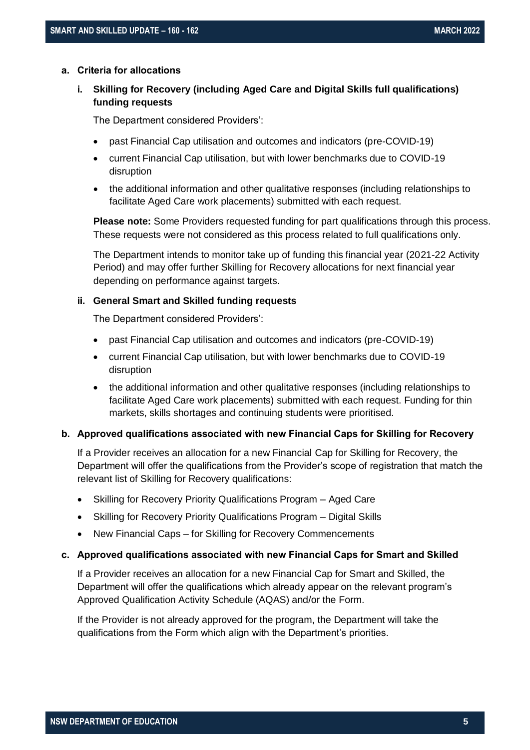#### <span id="page-4-0"></span>**a. Criteria for allocations**

**i. Skilling for Recovery (including Aged Care and Digital Skills full qualifications) funding requests** 

The Department considered Providers':

- past Financial Cap utilisation and outcomes and indicators (pre-COVID-19)
- current Financial Cap utilisation, but with lower benchmarks due to COVID-19 disruption
- the additional information and other qualitative responses (including relationships to facilitate Aged Care work placements) submitted with each request.

**Please note:** Some Providers requested funding for part qualifications through this process. These requests were not considered as this process related to full qualifications only.

The Department intends to monitor take up of funding this financial year (2021-22 Activity Period) and may offer further Skilling for Recovery allocations for next financial year depending on performance against targets.

#### **ii. General Smart and Skilled funding requests**

The Department considered Providers':

- past Financial Cap utilisation and outcomes and indicators (pre-COVID-19)
- current Financial Cap utilisation, but with lower benchmarks due to COVID-19 disruption
- the additional information and other qualitative responses (including relationships to facilitate Aged Care work placements) submitted with each request. Funding for thin markets, skills shortages and continuing students were prioritised.

#### <span id="page-4-1"></span>**b. Approved qualifications associated with new Financial Caps for Skilling for Recovery**

If a Provider receives an allocation for a new Financial Cap for Skilling for Recovery, the Department will offer the qualifications from the Provider's scope of registration that match the relevant list of Skilling for Recovery qualifications:

- Skilling for Recovery Priority Qualifications Program Aged Care
- Skilling for Recovery Priority Qualifications Program Digital Skills
- New Financial Caps for Skilling for Recovery Commencements

#### <span id="page-4-2"></span>**c. Approved qualifications associated with new Financial Caps for Smart and Skilled**

If a Provider receives an allocation for a new Financial Cap for Smart and Skilled, the Department will offer the qualifications which already appear on the relevant program's Approved Qualification Activity Schedule (AQAS) and/or the Form.

If the Provider is not already approved for the program, the Department will take the qualifications from the Form which align with the Department's priorities.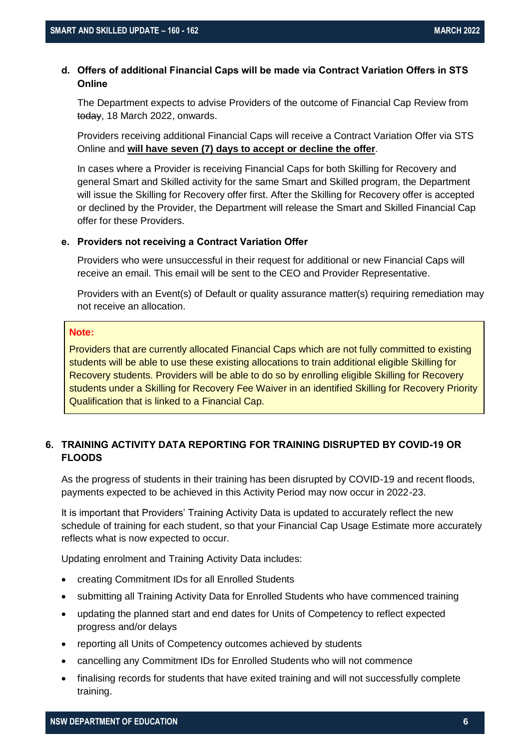#### <span id="page-5-0"></span>**d. Offers of additional Financial Caps will be made via Contract Variation Offers in STS Online**

The Department expects to advise Providers of the outcome of Financial Cap Review from today, 18 March 2022, onwards.

Providers receiving additional Financial Caps will receive a Contract Variation Offer via STS Online and **will have seven (7) days to accept or decline the offer**.

In cases where a Provider is receiving Financial Caps for both Skilling for Recovery and general Smart and Skilled activity for the same Smart and Skilled program, the Department will issue the Skilling for Recovery offer first. After the Skilling for Recovery offer is accepted or declined by the Provider, the Department will release the Smart and Skilled Financial Cap offer for these Providers.

#### <span id="page-5-1"></span>**e. Providers not receiving a Contract Variation Offer**

Providers who were unsuccessful in their request for additional or new Financial Caps will receive an email. This email will be sent to the CEO and Provider Representative.

Providers with an Event(s) of Default or quality assurance matter(s) requiring remediation may not receive an allocation.

#### **Note:**

Providers that are currently allocated Financial Caps which are not fully committed to existing students will be able to use these existing allocations to train additional eligible Skilling for Recovery students. Providers will be able to do so by enrolling eligible Skilling for Recovery students under a Skilling for Recovery Fee Waiver in an identified Skilling for Recovery Priority Qualification that is linked to a Financial Cap.

#### <span id="page-5-2"></span>**6. TRAINING ACTIVITY DATA REPORTING FOR TRAINING DISRUPTED BY COVID-19 OR FLOODS**

As the progress of students in their training has been disrupted by COVID-19 and recent floods, payments expected to be achieved in this Activity Period may now occur in 2022-23.

It is important that Providers' Training Activity Data is updated to accurately reflect the new schedule of training for each student, so that your Financial Cap Usage Estimate more accurately reflects what is now expected to occur.

Updating enrolment and Training Activity Data includes:

- creating Commitment IDs for all Enrolled Students
- submitting all Training Activity Data for Enrolled Students who have commenced training
- updating the planned start and end dates for Units of Competency to reflect expected progress and/or delays
- reporting all Units of Competency outcomes achieved by students
- cancelling any Commitment IDs for Enrolled Students who will not commence
- finalising records for students that have exited training and will not successfully complete training.